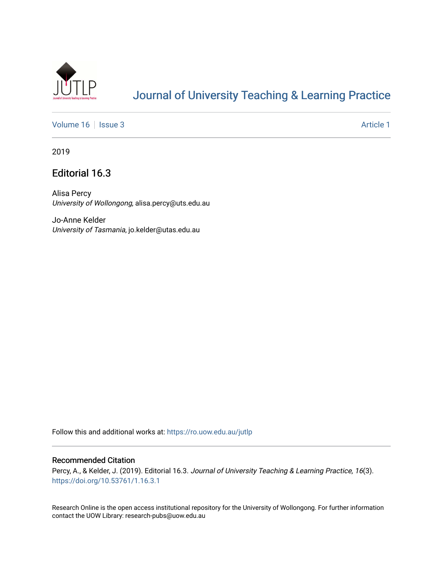

## [Journal of University Teaching & Learning Practice](https://ro.uow.edu.au/jutlp)

[Volume 16](https://ro.uow.edu.au/jutlp/vol16) | [Issue 3](https://ro.uow.edu.au/jutlp/vol16/iss3) Article 1

2019

### Editorial 16.3

Alisa Percy University of Wollongong, alisa.percy@uts.edu.au

Jo-Anne Kelder University of Tasmania, jo.kelder@utas.edu.au

Follow this and additional works at: [https://ro.uow.edu.au/jutlp](https://ro.uow.edu.au/jutlp?utm_source=ro.uow.edu.au%2Fjutlp%2Fvol16%2Fiss3%2F1&utm_medium=PDF&utm_campaign=PDFCoverPages) 

### Recommended Citation

Percy, A., & Kelder, J. (2019). Editorial 16.3. Journal of University Teaching & Learning Practice, 16(3). <https://doi.org/10.53761/1.16.3.1>

Research Online is the open access institutional repository for the University of Wollongong. For further information contact the UOW Library: research-pubs@uow.edu.au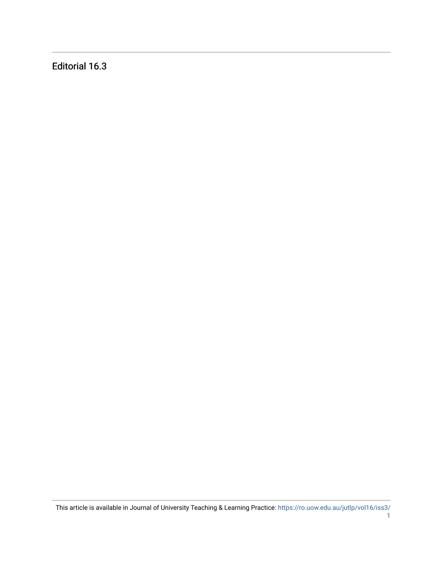Editorial 16.3

This article is available in Journal of University Teaching & Learning Practice: [https://ro.uow.edu.au/jutlp/vol16/iss3/](https://ro.uow.edu.au/jutlp/vol16/iss3/1)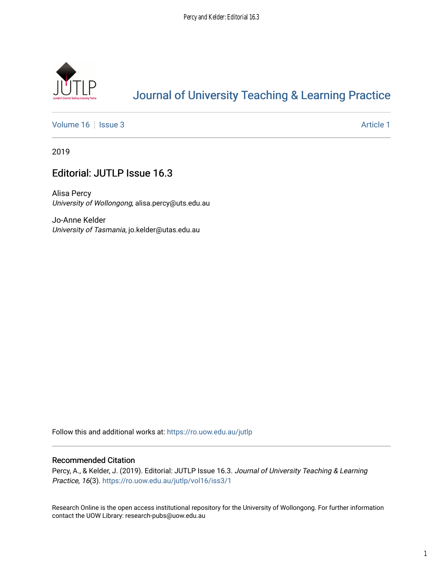

# [Journal of University Teaching & Learning Practice](https://ro.uow.edu.au/jutlp)

[Volume 16](https://ro.uow.edu.au/jutlp/vol16) | [Issue 3](https://ro.uow.edu.au/jutlp/vol16/iss3) Article 1

2019

## Editorial: JUTLP Issue 16.3

Alisa Percy University of Wollongong, alisa.percy@uts.edu.au

Jo-Anne Kelder University of Tasmania, jo.kelder@utas.edu.au

Follow this and additional works at: [https://ro.uow.edu.au/jutlp](https://ro.uow.edu.au/jutlp?utm_source=ro.uow.edu.au%2Fjutlp%2Fvol16%2Fiss3%2F1&utm_medium=PDF&utm_campaign=PDFCoverPages) 

#### Recommended Citation

Percy, A., & Kelder, J. (2019). Editorial: JUTLP Issue 16.3. Journal of University Teaching & Learning Practice, 16(3). [https://ro.uow.edu.au/jutlp/vol16/iss3/1](https://ro.uow.edu.au/jutlp/vol16/iss3/1?utm_source=ro.uow.edu.au%2Fjutlp%2Fvol16%2Fiss3%2F1&utm_medium=PDF&utm_campaign=PDFCoverPages)

Research Online is the open access institutional repository for the University of Wollongong. For further information contact the UOW Library: research-pubs@uow.edu.au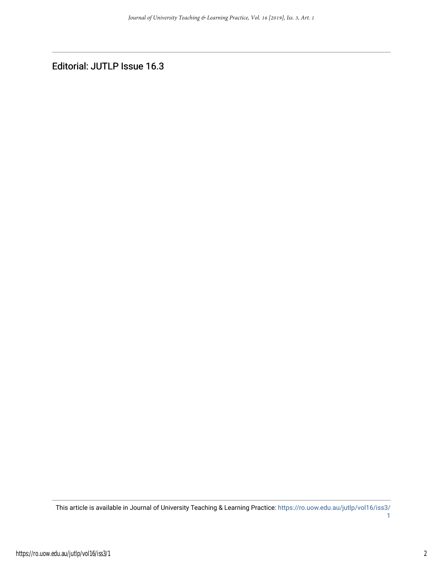Editorial: JUTLP Issue 16.3

This article is available in Journal of University Teaching & Learning Practice: [https://ro.uow.edu.au/jutlp/vol16/iss3/](https://ro.uow.edu.au/jutlp/vol16/iss3/1) [1](https://ro.uow.edu.au/jutlp/vol16/iss3/1)